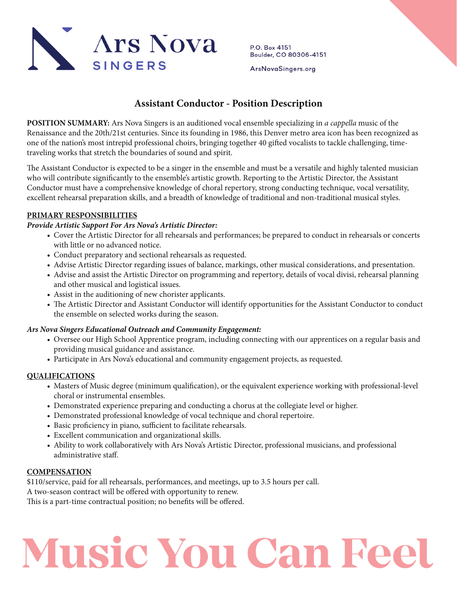

P.O. Box 4151 Boulder, CO 80306-4151

ArsNovaSingers.org

# **Assistant Conductor - Position Description**

**POSITION SUMMARY:** Ars Nova Singers is an auditioned vocal ensemble specializing in *a cappella* music of the Renaissance and the 20th/21st centuries. Since its founding in 1986, this Denver metro area icon has been recognized as one of the nation's most intrepid professional choirs, bringing together 40 gifted vocalists to tackle challenging, timetraveling works that stretch the boundaries of sound and spirit.

The Assistant Conductor is expected to be a singer in the ensemble and must be a versatile and highly talented musician who will contribute significantly to the ensemble's artistic growth. Reporting to the Artistic Director, the Assistant Conductor must have a comprehensive knowledge of choral repertory, strong conducting technique, vocal versatility, excellent rehearsal preparation skills, and a breadth of knowledge of traditional and non-traditional musical styles.

# **PRIMARY RESPONSIBILITIES**

# *Provide Artistic Support For Ars Nova's Artistic Director:*

- Cover the Artistic Director for all rehearsals and performances; be prepared to conduct in rehearsals or concerts with little or no advanced notice.
- Conduct preparatory and sectional rehearsals as requested.
- Advise Artistic Director regarding issues of balance, markings, other musical considerations, and presentation.
- Advise and assist the Artistic Director on programming and repertory, details of vocal divisi, rehearsal planning and other musical and logistical issues.
- Assist in the auditioning of new chorister applicants.
- The Artistic Director and Assistant Conductor will identify opportunities for the Assistant Conductor to conduct the ensemble on selected works during the season.

# *Ars Nova Singers Educational Outreach and Community Engagement:*

- Oversee our High School Apprentice program, including connecting with our apprentices on a regular basis and providing musical guidance and assistance.
- Participate in Ars Nova's educational and community engagement projects, as requested.

#### **QUALIFICATIONS**

- Masters of Music degree (minimum qualification), or the equivalent experience working with professional-level choral or instrumental ensembles.
- Demonstrated experience preparing and conducting a chorus at the collegiate level or higher.
- Demonstrated professional knowledge of vocal technique and choral repertoire.
- Basic proficiency in piano, sufficient to facilitate rehearsals.
- Excellent communication and organizational skills.
- Ability to work collaboratively with Ars Nova's Artistic Director, professional musicians, and professional administrative staff.

#### **COMPENSATION**

\$110/service, paid for all rehearsals, performances, and meetings, up to 3.5 hours per call.

A two-season contract will be offered with opportunity to renew.

This is a part-time contractual position; no benefits will be offered.

# **Music You Can Feel**